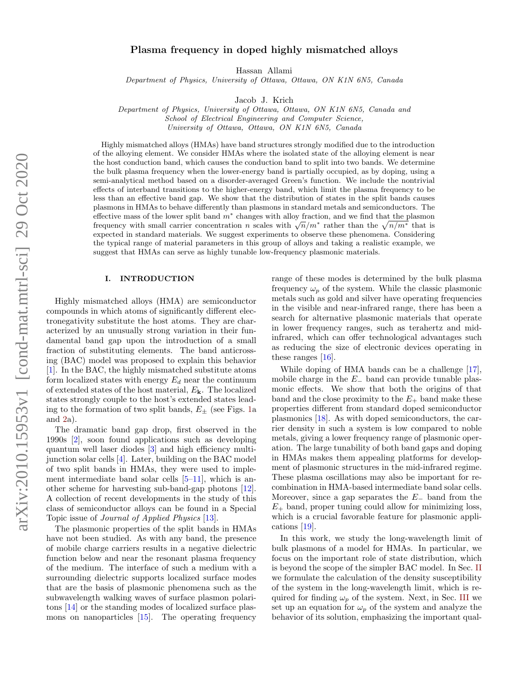# Plasma frequency in doped highly mismatched alloys

Hassan Allami

Department of Physics, University of Ottawa, Ottawa, ON K1N 6N5, Canada

Jacob J. Krich

Department of Physics, University of Ottawa, Ottawa, ON K1N 6N5, Canada and School of Electrical Engineering and Computer Science,

University of Ottawa, Ottawa, ON K1N 6N5, Canada

Highly mismatched alloys (HMAs) have band structures strongly modified due to the introduction of the alloying element. We consider HMAs where the isolated state of the alloying element is near the host conduction band, which causes the conduction band to split into two bands. We determine the bulk plasma frequency when the lower-energy band is partially occupied, as by doping, using a semi-analytical method based on a disorder-averaged Green's function. We include the nontrivial effects of interband transitions to the higher-energy band, which limit the plasma frequency to be less than an effective band gap. We show that the distribution of states in the split bands causes plasmons in HMAs to behave differently than plasmons in standard metals and semiconductors. The effective mass of the lower split band  $m<sup>*</sup>$  changes with alloy fraction, and we find that the plasmon enective mass of the lower split band m changes with alloy fraction, and we find that the plasmon<br>frequency with small carrier concentration n scales with  $\sqrt{n}/m^*$  rather than the  $\sqrt{n}/m^*$  that is expected in standard materials. We suggest experiments to observe these phenomena. Considering the typical range of material parameters in this group of alloys and taking a realistic example, we suggest that HMAs can serve as highly tunable low-frequency plasmonic materials.

## I. INTRODUCTION

Highly mismatched alloys (HMA) are semiconductor compounds in which atoms of significantly different electronegativity substitute the host atoms. They are characterized by an unusually strong variation in their fundamental band gap upon the introduction of a small fraction of substituting elements. The band anticrossing (BAC) model was proposed to explain this behavior [\[1\]](#page-8-0). In the BAC, the highly mismatched substitute atoms form localized states with energy  $E_d$  near the continuum of extended states of the host material,  $E_{\mathbf{k}}$ . The localized states strongly couple to the host's extended states leading to the formation of two split bands,  $E_{\pm}$  (see Figs. [1a](#page-1-0) and [2a](#page-1-1)).

The dramatic band gap drop, first observed in the 1990s [\[2\]](#page-8-1), soon found applications such as developing quantum well laser diodes [\[3\]](#page-8-2) and high efficiency multijunction solar cells [\[4\]](#page-8-3). Later, building on the BAC model of two split bands in HMAs, they were used to implement intermediate band solar cells [\[5–](#page-8-4)[11\]](#page-8-5), which is another scheme for harvesting sub-band-gap photons [\[12\]](#page-8-6). A collection of recent developments in the study of this class of semiconductor alloys can be found in a Special Topic issue of Journal of Applied Physics [\[13\]](#page-8-7).

The plasmonic properties of the split bands in HMAs have not been studied. As with any band, the presence of mobile charge carriers results in a negative dielectric function below and near the resonant plasma frequency of the medium. The interface of such a medium with a surrounding dielectric supports localized surface modes that are the basis of plasmonic phenomena such as the subwavelength walking waves of surface plasmon polaritons [\[14\]](#page-8-8) or the standing modes of localized surface plasmons on nanoparticles [\[15\]](#page-8-9). The operating frequency

range of these modes is determined by the bulk plasma frequency  $\omega_p$  of the system. While the classic plasmonic metals such as gold and silver have operating frequencies in the visible and near-infrared range, there has been a search for alternative plasmonic materials that operate in lower frequency ranges, such as terahertz and midinfrared, which can offer technological advantages such as reducing the size of electronic devices operating in these ranges [\[16\]](#page-8-10).

While doping of HMA bands can be a challenge [\[17\]](#page-8-11), mobile charge in the  $E_-\$  band can provide tunable plasmonic effects. We show that both the origins of that band and the close proximity to the  $E_+$  band make these properties different from standard doped semiconductor plasmonics [\[18\]](#page-8-12). As with doped semiconductors, the carrier density in such a system is low compared to noble metals, giving a lower frequency range of plasmonic operation. The large tunability of both band gaps and doping in HMAs makes them appealing platforms for development of plasmonic structures in the mid-infrared regime. These plasma oscillations may also be important for recombination in HMA-based intermediate band solar cells. Moreover, since a gap separates the  $E_-\$  band from the  $E_{+}$  band, proper tuning could allow for minimizing loss, which is a crucial favorable feature for plasmonic applications [\[19\]](#page-8-13).

In this work, we study the long-wavelength limit of bulk plasmons of a model for HMAs. In particular, we focus on the important role of state distribution, which is beyond the scope of the simpler BAC model. In Sec. [II](#page-1-2) we formulate the calculation of the density susceptibility of the system in the long-wavelength limit, which is required for finding  $\omega_p$  of the system. Next, in Sec. [III](#page-4-0) we set up an equation for  $\omega_p$  of the system and analyze the behavior of its solution, emphasizing the important qual-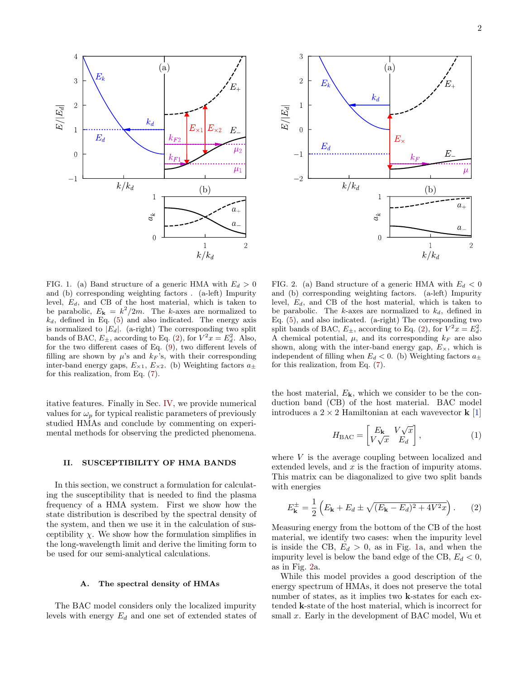



<span id="page-1-0"></span>FIG. 1. (a) Band structure of a generic HMA with  $E_d > 0$ and (b) corresponding weighting factors . (a-left) Impurity level,  $E_d$ , and CB of the host material, which is taken to be parabolic,  $E_{\mathbf{k}} = k^2/2m$ . The k-axes are normalized to  $k_d$ , defined in Eq. [\(5\)](#page-2-0) and also indicated. The energy axis is normalized to  $|E_d|$ . (a-right) The corresponding two split bands of BAC,  $E_{\pm}$ , according to Eq. [\(2\)](#page-1-3), for  $V^2x = E_d^2$ . Also, for the two different cases of Eq. [\(9\)](#page-2-1), two different levels of filling are shown by  $\mu$ 's and  $k_F$ 's, with their corresponding inter-band energy gaps,  $E_{\times 1}$ ,  $E_{\times 2}$ . (b) Weighting factors  $a_{\pm}$ for this realization, from Eq. [\(7\)](#page-2-2).

itative features. Finally in Sec. [IV,](#page-6-0) we provide numerical values for  $\omega_p$  for typical realistic parameters of previously studied HMAs and conclude by commenting on experimental methods for observing the predicted phenomena.

# <span id="page-1-2"></span>II. SUSCEPTIBILITY OF HMA BANDS

In this section, we construct a formulation for calculating the susceptibility that is needed to find the plasma frequency of a HMA system. First we show how the state distribution is described by the spectral density of the system, and then we use it in the calculation of susceptibility  $\chi$ . We show how the formulation simplifies in the long-wavelength limit and derive the limiting form to be used for our semi-analytical calculations.

## A. The spectral density of HMAs

The BAC model considers only the localized impurity levels with energy  $E_d$  and one set of extended states of

<span id="page-1-1"></span>FIG. 2. (a) Band structure of a generic HMA with  $E_d < 0$ and (b) corresponding weighting factors. (a-left) Impurity level,  $E_d$ , and CB of the host material, which is taken to be parabolic. The k-axes are normalized to  $k_d$ , defined in Eq. [\(5\)](#page-2-0), and also indicated. (a-right) The corresponding two split bands of BAC,  $E_{\pm}$ , according to Eq. [\(2\)](#page-1-3), for  $V^2x = E_d^2$ . A chemical potential,  $\mu$ , and its corresponding  $k_F$  are also shown, along with the inter-band energy gap,  $E_{\times}$ , which is independent of filling when  $E_d < 0$ . (b) Weighting factors  $a_{\pm}$ for this realization, from Eq. [\(7\)](#page-2-2).

the host material,  $E_{\mathbf{k}}$ , which we consider to be the conduction band (CB) of the host material. BAC model introduces a  $2 \times 2$  Hamiltonian at each wavevector **k** [\[1\]](#page-8-0)

$$
H_{\text{BAC}} = \begin{bmatrix} E_{\mathbf{k}} & V\sqrt{x} \\ V\sqrt{x} & E_d \end{bmatrix},\tag{1}
$$

where V is the average coupling between localized and extended levels, and  $x$  is the fraction of impurity atoms. This matrix can be diagonalized to give two split bands with energies

<span id="page-1-3"></span>
$$
E_{\mathbf{k}}^{\pm} = \frac{1}{2} \left( E_{\mathbf{k}} + E_d \pm \sqrt{(E_{\mathbf{k}} - E_d)^2 + 4V^2 x} \right). \tag{2}
$$

Measuring energy from the bottom of the CB of the host material, we identify two cases: when the impurity level is inside the CB,  $E_d > 0$ , as in Fig. [1a](#page-1-0), and when the impurity level is below the band edge of the CB,  $E_d < 0$ , as in Fig. [2a](#page-1-1).

While this model provides a good description of the energy spectrum of HMAs, it does not preserve the total number of states, as it implies two **k**-states for each extended k-state of the host material, which is incorrect for small x. Early in the development of BAC model, Wu et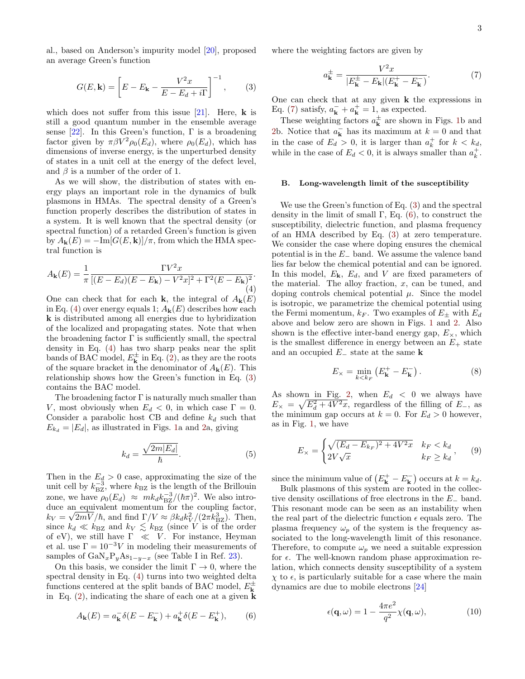al., based on Anderson's impurity model [\[20\]](#page-8-14), proposed an average Green's function

<span id="page-2-4"></span>
$$
G(E, \mathbf{k}) = \left[ E - E_{\mathbf{k}} - \frac{V^2 x}{E - E_d + i\Gamma} \right]^{-1},\qquad(3)
$$

which does not suffer from this issue [\[21\]](#page-8-15). Here,  $\bf{k}$  is still a good quantum number in the ensemble average sense  $[22]$ . In this Green's function,  $\Gamma$  is a broadening factor given by  $\pi \beta V^2 \rho_0(E_d)$ , where  $\rho_0(E_d)$ , which has dimensions of inverse energy, is the unperturbed density of states in a unit cell at the energy of the defect level, and  $\beta$  is a number of the order of 1.

As we will show, the distribution of states with energy plays an important role in the dynamics of bulk plasmons in HMAs. The spectral density of a Green's function properly describes the distribution of states in a system. It is well known that the spectral density (or spectral function) of a retarded Green's function is given by  $A_{\mathbf{k}}(E) = -\text{Im}[G(E, \mathbf{k})]/\pi$ , from which the HMA spectral function is

<span id="page-2-3"></span>
$$
A_{\mathbf{k}}(E) = \frac{1}{\pi} \frac{\Gamma V^2 x}{[(E - E_d)(E - E_{\mathbf{k}}) - V^2 x]^2 + \Gamma^2 (E - E_{\mathbf{k}})^2}.
$$
\n(4)

One can check that for each **k**, the integral of  $A_k(E)$ in Eq. [\(4\)](#page-2-3) over energy equals 1;  $A_{\mathbf{k}}(E)$  describes how each k is distributed among all energies due to hybridization of the localized and propagating states. Note that when the broadening factor  $\Gamma$  is sufficiently small, the spectral density in Eq. [\(4\)](#page-2-3) has two sharp peaks near the split bands of BAC model,  $E_{\mathbf{k}}^{\pm}$  in Eq. [\(2\)](#page-1-3), as they are the roots of the square bracket in the denominator of  $A_{\mathbf{k}}(E)$ . This relationship shows how the Green's function in Eq. [\(3\)](#page-2-4) contains the BAC model.

The broadening factor  $\Gamma$  is naturally much smaller than V, most obviously when  $E_d < 0$ , in which case  $\Gamma = 0$ . Consider a parabolic host CB and define  $k_d$  such that  $E_{k_d} = |E_d|$ , as illustrated in Figs. [1a](#page-1-0) and [2a](#page-1-1), giving

<span id="page-2-0"></span>
$$
k_d = \frac{\sqrt{2m|E_d|}}{\hbar}.\tag{5}
$$

Then in the  $E_d > 0$  case, approximating the size of the unit cell by  $k_{\text{BZ}}^{-3}$ , where  $k_{\text{BZ}}$  is the length of the Brillouin zone, we have  $\rho_0(E_d) \approx mk_d k_{\rm BZ}^{-3}/(\hbar \pi)^2$ . We also introduce an equivalent momentum for the coupling factor,  $k_V = \sqrt{2mV}/\hbar$ , and find  $\Gamma/V \approx \beta k_d k_V^2/(2\pi k_{\rm BZ}^3)$ . Then, since  $k_d \ll k_{\text{BZ}}$  and  $k_V \lesssim k_{\text{BZ}}$  (since V is of the order of eV), we still have  $\Gamma \ll V$ . For instance, Heyman et al. use  $\Gamma = 10^{-3}V$  in modeling their measurements of samples of  $\text{GaN}_x\text{P}_y\text{As}_{1-y-x}$  (see Table I in Ref. [23\)](#page-9-1).

On this basis, we consider the limit  $\Gamma \to 0$ , where the spectral density in Eq. [\(4\)](#page-2-3) turns into two weighted delta functions centered at the split bands of BAC model,  $E^{\pm}_{\bf k}$ in Eq.  $(2)$ , indicating the share of each one at a given **k** 

<span id="page-2-5"></span>
$$
A_{\mathbf{k}}(E) = a_{\mathbf{k}}^- \delta(E - E_{\mathbf{k}}^-) + a_{\mathbf{k}}^+ \delta(E - E_{\mathbf{k}}^+),\tag{6}
$$

where the weighting factors are given by

<span id="page-2-2"></span>
$$
a_{\mathbf{k}}^{\pm} = \frac{V^2 x}{|E_{\mathbf{k}}^{\pm} - E_{\mathbf{k}}|(E_{\mathbf{k}}^+ - E_{\mathbf{k}}^-)}.
$$
 (7)

One can check that at any given k the expressions in Eq. [\(7\)](#page-2-2) satisfy,  $a_{\mathbf{k}}^- + a_{\mathbf{k}}^+ = 1$ , as expected.

These weighting factors  $a_{\mathbf{k}}^{\pm}$  are shown in Figs. [1b](#page-1-0) and [2b](#page-1-1). Notice that  $a_k^-$  has its maximum at  $k = 0$  and that in the case of  $E_d > 0$ , it is larger than  $a_k^+$  for  $k < k_d$ , while in the case of  $E_d < 0$ , it is always smaller than  $a_k^+$ .

## B. Long-wavelength limit of the susceptibility

We use the Green's function of Eq. [\(3\)](#page-2-4) and the spectral density in the limit of small  $\Gamma$ , Eq. [\(6\)](#page-2-5), to construct the susceptibility, dielectric function, and plasma frequency of an HMA described by Eq. [\(3\)](#page-2-4) at zero temperature. We consider the case where doping ensures the chemical potential is in the  $E_-\$  band. We assume the valence band lies far below the chemical potential and can be ignored. In this model,  $E_k$ ,  $E_d$ , and V are fixed parameters of the material. The alloy fraction,  $x$ , can be tuned, and doping controls chemical potential  $\mu$ . Since the model is isotropic, we parametrize the chemical potential using the Fermi momentum,  $k_F$ . Two examples of  $E_{\pm}$  with  $E_d$ above and below zero are shown in Figs. [1](#page-1-0) and [2.](#page-1-1) Also shown is the effective inter-band energy gap,  $E_{\times}$ , which is the smallest difference in energy between an  $E_+$  state and an occupied  $E_$  state at the same **k** 

<span id="page-2-7"></span>
$$
E_{\times} = \min_{k < k_F} \left( E_{\mathbf{k}}^+ - E_{\mathbf{k}}^- \right). \tag{8}
$$

As shown in Fig. [2,](#page-1-1) when  $E_d < 0$  we always have  $E_{\times} = \sqrt{E_d^2 + 4V^2x}$ , regardless of the filling of  $E_{-}$ , as the minimum gap occurs at  $k = 0$ . For  $E_d > 0$  however, as in Fig. [1,](#page-1-0) we have

<span id="page-2-1"></span>
$$
E_{\times} = \begin{cases} \sqrt{(E_d - E_{k_F})^2 + 4V^2x} & k_F < k_d \\ 2V\sqrt{x} & k_F \ge k_d \end{cases} \tag{9}
$$

since the minimum value of  $(E_{\mathbf{k}}^{+} - E_{\mathbf{k}}^{-})$  occurs at  $k = k_d$ .

Bulk plasmons of this system are rooted in the collective density oscillations of free electrons in the E<sup>−</sup> band. This resonant mode can be seen as an instability when the real part of the dielectric function  $\epsilon$  equals zero. The plasma frequency  $\omega_p$  of the system is the frequency associated to the long-wavelength limit of this resonance. Therefore, to compute  $\omega_p$  we need a suitable expression for  $\epsilon$ . The well-known random phase approximation relation, which connects density susceptibility of a system  $\chi$  to  $\epsilon$ , is particularly suitable for a case where the main dynamics are due to mobile electrons [\[24\]](#page-9-2)

<span id="page-2-6"></span>
$$
\epsilon(\mathbf{q}, \omega) = 1 - \frac{4\pi e^2}{q^2} \chi(\mathbf{q}, \omega), \tag{10}
$$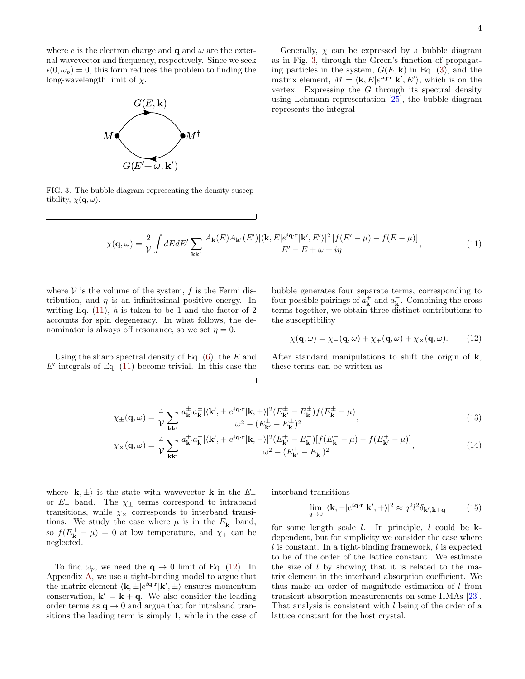where e is the electron charge and  $q$  and  $\omega$  are the external wavevector and frequency, respectively. Since we seek  $\epsilon(0,\omega_p) = 0$ , this form reduces the problem to finding the long-wavelength limit of  $\chi$ .



Generally,  $\chi$  can be expressed by a bubble diagram as in Fig. [3,](#page-3-0) through the Green's function of propagating particles in the system,  $G(E, \mathbf{k})$  in Eq. [\(3\)](#page-2-4), and the matrix element,  $M = \langle \mathbf{k}, E | e^{i \mathbf{q} \cdot \mathbf{r}} | \mathbf{k}', E' \rangle$ , which is on the vertex. Expressing the  $G$  through its spectral density using Lehmann representation [\[25\]](#page-9-3), the bubble diagram represents the integral

<span id="page-3-0"></span>FIG. 3. The bubble diagram representing the density susceptibility,  $\chi(\mathbf{q}, \omega)$ .

<span id="page-3-1"></span>
$$
\chi(\mathbf{q},\omega) = \frac{2}{\mathcal{V}} \int dE dE' \sum_{\mathbf{k}\mathbf{k}'} \frac{A_{\mathbf{k}}(E) A_{\mathbf{k}'}(E') |\langle \mathbf{k}, E | e^{i\mathbf{q}\cdot\mathbf{r}} | \mathbf{k}', E' \rangle|^2 [f(E' - \mu) - f(E - \mu)]}{E' - E + \omega + i\eta},\tag{11}
$$

where  $V$  is the volume of the system,  $f$  is the Fermi distribution, and  $\eta$  is an infinitesimal positive energy. In writing Eq. [\(11\)](#page-3-1),  $\hbar$  is taken to be 1 and the factor of 2 accounts for spin degeneracy. In what follows, the denominator is always off resonance, so we set  $\eta = 0$ .

Using the sharp spectral density of Eq.  $(6)$ , the E and  $E'$  integrals of Eq. [\(11\)](#page-3-1) become trivial. In this case the

bubble generates four separate terms, corresponding to four possible pairings of  $a<sub>k</sub><sup>+</sup>$  and  $a<sub>k</sub><sup>-</sup>$ . Combining the cross terms together, we obtain three distinct contributions to the susceptibility

<span id="page-3-2"></span>
$$
\chi(\mathbf{q},\omega) = \chi_{-}(\mathbf{q},\omega) + \chi_{+}(\mathbf{q},\omega) + \chi_{\times}(\mathbf{q},\omega). \tag{12}
$$

After standard manipulations to shift the origin of **,** these terms can be written as

$$
\chi_{\pm}(\mathbf{q},\omega) = \frac{4}{\mathcal{V}} \sum_{\mathbf{k}\mathbf{k}'} \frac{a_{\mathbf{k}'}^{\pm} a_{\mathbf{k}}^{\pm} |\langle \mathbf{k}', \pm | e^{i\mathbf{q} \cdot \mathbf{r}} | \mathbf{k}, \pm \rangle|^2 (E_{\mathbf{k}'}^{\pm} - E_{\mathbf{k}}^{\pm}) f(E_{\mathbf{k}}^{\pm} - \mu)}{\omega^2 - (E_{\mathbf{k}'}^{\pm} - E_{\mathbf{k}}^{\pm})^2},\tag{13}
$$

$$
\chi_{\times}(\mathbf{q},\omega) = \frac{4}{\mathcal{V}} \sum_{\mathbf{k}\mathbf{k}'} \frac{a_{\mathbf{k}'}^+ a_{\mathbf{k}}^- |\langle \mathbf{k}', + |e^{i\mathbf{q}\cdot\mathbf{r}} | \mathbf{k}, -\rangle|^2 (E_{\mathbf{k}'}^+ - E_{\mathbf{k}}^-) [f(E_{\mathbf{k}}^- - \mu) - f(E_{\mathbf{k}'}^+ - \mu)]}{\omega^2 - (E_{\mathbf{k}'}^+ - E_{\mathbf{k}}^-)^2},\tag{14}
$$

where  $|\mathbf{k}, \pm \rangle$  is the state with wavevector **k** in the  $E_+$ or  $E_$  band. The  $\chi$ <sub>±</sub> terms correspond to intraband transitions, while  $\chi_{\times}$  corresponds to interband transitions. We study the case where  $\mu$  is in the  $E_{\mathbf{k}}^-$  band, so  $f(E_{\mathbf{k}}^{+} - \mu) = 0$  at low temperature, and  $\chi_{+}$  can be neglected.

To find  $\omega_p$ , we need the  $\mathbf{q} \to 0$  limit of Eq. [\(12\)](#page-3-2). In Appendix [A,](#page-7-0) we use a tight-binding model to argue that the matrix element  $\langle \mathbf{k}, \pm |e^{i\mathbf{q} \cdot \mathbf{r}} | \mathbf{k}', \pm \rangle$  ensures momentum conservation,  $\mathbf{k}' = \mathbf{k} + \mathbf{q}$ . We also consider the leading order terms as  $q \rightarrow 0$  and argue that for intraband transitions the leading term is simply 1, while in the case of interband transitions

<span id="page-3-5"></span><span id="page-3-4"></span><span id="page-3-3"></span>
$$
\lim_{q \to 0} |\langle \mathbf{k}, -|e^{i\mathbf{q} \cdot \mathbf{r}} | \mathbf{k}', + \rangle|^2 \approx q^2 l^2 \delta_{\mathbf{k}', \mathbf{k} + \mathbf{q}} \tag{15}
$$

for some length scale  $l$ . In principle,  $l$  could be  $k$ dependent, but for simplicity we consider the case where  $l$  is constant. In a tight-binding framework,  $l$  is expected to be of the order of the lattice constant. We estimate the size of  $l$  by showing that it is related to the matrix element in the interband absorption coefficient. We thus make an order of magnitude estimation of l from transient absorption measurements on some HMAs [\[23\]](#page-9-1). That analysis is consistent with l being of the order of a lattice constant for the host crystal.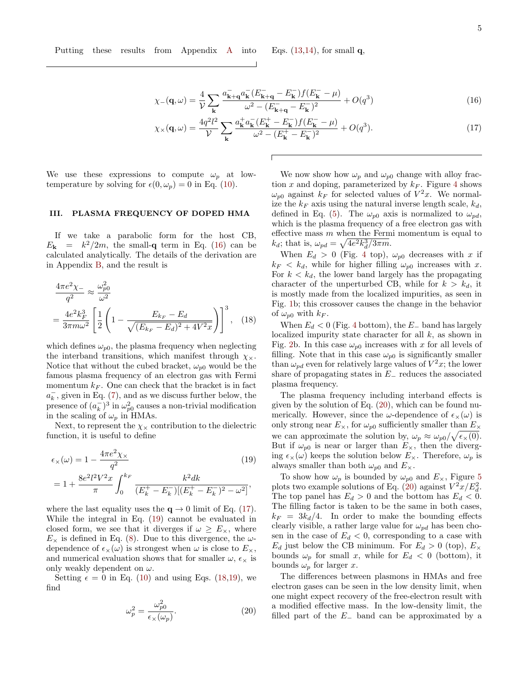$$
\chi_{-}(\mathbf{q},\omega) = \frac{4}{\mathcal{V}} \sum_{\mathbf{k}} \frac{a_{\mathbf{k}+\mathbf{q}}^{-} a_{\mathbf{k}}^{-} (E_{\mathbf{k}+\mathbf{q}}^{-} - E_{\mathbf{k}}^{-}) f (E_{\mathbf{k}}^{-} - \mu)}{\omega^{2} - (E_{\mathbf{k}+\mathbf{q}}^{-} - E_{\mathbf{k}}^{-})^{2}} + O(q^{3})
$$
(16)

$$
\chi_{\times}(\mathbf{q},\omega) = \frac{4q^2l^2}{\mathcal{V}} \sum_{\mathbf{k}} \frac{a_{\mathbf{k}}^+ a_{\mathbf{k}}^- (E_{\mathbf{k}}^+ - E_{\mathbf{k}}^-) f(E_{\mathbf{k}}^- - \mu)}{\omega^2 - (E_{\mathbf{k}}^+ - E_{\mathbf{k}}^-)^2} + O(q^3). \tag{17}
$$

We use these expressions to compute  $\omega_p$  at lowtemperature by solving for  $\epsilon(0, \omega_p) = 0$  in Eq. [\(10\)](#page-2-6).

# <span id="page-4-0"></span>III. PLASMA FREQUENCY OF DOPED HMA

If we take a parabolic form for the host CB,  $E_{\mathbf{k}} = k^2/2m$ , the small-**q** term in Eq. [\(16\)](#page-4-1) can be calculated analytically. The details of the derivation are in Appendix [B,](#page-8-16) and the result is

$$
\frac{4\pi e^2 \chi_{-}}{q^2} \approx \frac{\omega_{p0}^2}{\omega^2}
$$

$$
= \frac{4e^2 k_F^3}{3\pi m \omega^2} \left[ \frac{1}{2} \left( 1 - \frac{E_{k_F} - E_d}{\sqrt{(E_{k_F} - E_d)^2 + 4V^2 x}} \right) \right]^3, \quad (18)
$$

which defines  $\omega_{p0}$ , the plasma frequency when neglecting the interband transitions, which manifest through  $\chi_{\times}$ . Notice that without the cubed bracket,  $\omega_{p0}$  would be the famous plasma frequency of an electron gas with Fermi momentum  $k_F$ . One can check that the bracket is in fact  $a_k^-$ , given in Eq. [\(7\)](#page-2-2), and as we discuss further below, the presence of  $(a_k^-)^3$  in  $\omega_{p0}^2$  causes a non-trivial modification in the scaling of  $\omega_p$  in HMAs.

Next, to represent the  $\chi_{\times}$  contribution to the dielectric function, it is useful to define

$$
\epsilon_{\times}(\omega) = 1 - \frac{4\pi e^2 \chi_{\times}}{q^2}
$$
\n
$$
= 1 + \frac{8e^2 l^2 V^2 x}{\pi} \int_0^{k_F} \frac{k^2 dk}{(E_k^+ - E_k^-)[(E_k^+ - E_k^-)^2 - \omega^2]},
$$
\n(19)

where the last equality uses the  $q \rightarrow 0$  limit of Eq. [\(17\)](#page-4-2). While the integral in Eq. [\(19\)](#page-4-3) cannot be evaluated in closed form, we see that it diverges if  $\omega \ge E_{\times}$ , where  $E_{\times}$  is defined in Eq. [\(8\)](#page-2-7). Due to this divergence, the  $\omega$ dependence of  $\epsilon_{\times}(\omega)$  is strongest when  $\omega$  is close to  $E_{\times}$ , and numerical evaluation shows that for smaller  $\omega$ ,  $\epsilon_{\times}$  is only weakly dependent on  $\omega$ .

Setting  $\epsilon = 0$  in Eq. [\(10\)](#page-2-6) and using Eqs. [\(18,](#page-4-4)[19\)](#page-4-3), we find

<span id="page-4-5"></span>
$$
\omega_p^2 = \frac{\omega_{p0}^2}{\epsilon_\times(\omega_p)}.\tag{20}
$$

<span id="page-4-2"></span><span id="page-4-1"></span>We now show how  $\omega_p$  and  $\omega_{p0}$  change with alloy fraction x and doping, parameterized by  $k_F$ . Figure [4](#page-5-0) shows  $\omega_{p0}$  against  $k_F$  for selected values of  $V^2x$ . We normalize the  $k_F$  axis using the natural inverse length scale,  $k_d$ , defined in Eq. [\(5\)](#page-2-0). The  $\omega_{p0}$  axis is normalized to  $\omega_{pd}$ , which is the plasma frequency of a free electron gas with effective mass  $m$  when the Fermi momentum is equal to  $k_d$ ; that is,  $\omega_{pd} = \sqrt{4e^2k_d^3/3\pi m}$ .

When  $E_d > 0$  (Fig. [4](#page-5-0) top),  $\omega_{p0}$  decreases with x if  $k_F < k_d$ , while for higher filling  $\omega_{p0}$  increases with x. For  $k < k_d$ , the lower band largely has the propagating character of the unperturbed CB, while for  $k > k_d$ , it is mostly made from the localized impurities, as seen in Fig. [1b](#page-1-0); this crossover causes the change in the behavior of  $\omega_{p0}$  with  $k_F$ .

<span id="page-4-4"></span>When  $E_d < 0$  (Fig. [4](#page-5-0) bottom), the  $E_{-}$  band has largely localized impurity state character for all k, as shown in Fig. [2b](#page-1-1). In this case  $\omega_{p0}$  increases with x for all levels of filling. Note that in this case  $\omega_{p0}$  is significantly smaller than  $\omega_{pd}$  even for relatively large values of  $V^2x$ ; the lower share of propagating states in  $E_$  reduces the associated plasma frequency.

The plasma frequency including interband effects is given by the solution of Eq. [\(20\)](#page-4-5), which can be found numerically. However, since the  $\omega$ -dependence of  $\epsilon_{\times}(\omega)$  is only strong near  $E_{\times}$ , for  $\omega_{p0}$  sufficiently smaller than  $E_{\times}$ we can approximate the solution by,  $\omega_p \approx \omega_{p0}/\sqrt{\epsilon_x(0)}$ . But if  $\omega_{p0}$  is near or larger than  $E_{\times}$ , then the diverging  $\epsilon_{\times}(\omega)$  keeps the solution below  $E_{\times}$ . Therefore,  $\omega_p$  is always smaller than both  $\omega_{p0}$  and  $E_{\times}$ .

<span id="page-4-3"></span>To show how  $\omega_p$  is bounded by  $\omega_{p0}$  and  $E_{\times}$ , Figure [5](#page-5-1) plots two example solutions of Eq. [\(20\)](#page-4-5) against  $V^2x/E_d^2$ . The top panel has  $E_d > 0$  and the bottom has  $E_d < 0$ . The filling factor is taken to be the same in both cases,  $k_F = 3k_d/4$ . In order to make the bounding effects clearly visible, a rather large value for  $\omega_{pd}$  has been chosen in the case of  $E_d < 0$ , corresponding to a case with  $E_d$  just below the CB minimum. For  $E_d > 0$  (top),  $E_{\times}$ bounds  $\omega_p$  for small x, while for  $E_d < 0$  (bottom), it bounds  $\omega_p$  for larger x.

The differences between plasmons in HMAs and free electron gases can be seen in the low density limit, when one might expect recovery of the free-electron result with a modified effective mass. In the low-density limit, the filled part of the  $E_-\$  band can be approximated by a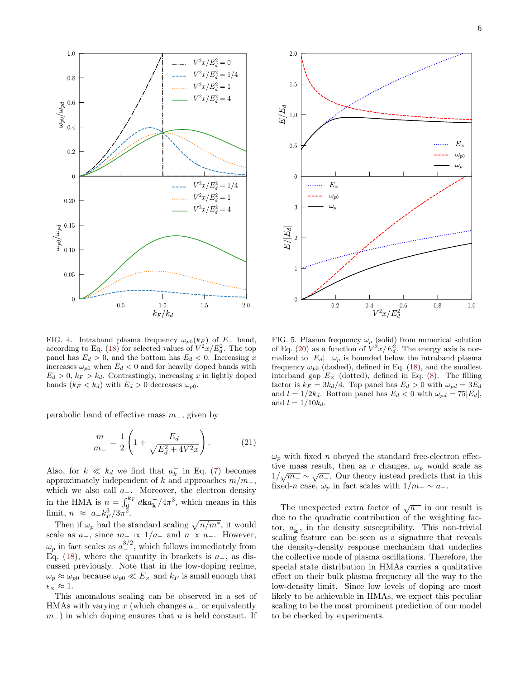

<span id="page-5-0"></span>FIG. 4. Intraband plasma frequency  $\omega_{p0}(k_F)$  of E– band, according to Eq. [\(18\)](#page-4-4) for selected values of  $V^2x/E_d^2$ . The top panel has  $E_d > 0$ , and the bottom has  $E_d < 0$ . Increasing x increases  $\omega_{p0}$  when  $E_d < 0$  and for heavily doped bands with  $E_d > 0, k_F > k_d$ . Contrastingly, increasing x in lightly doped bands  $(k_F < k_d)$  with  $E_d > 0$  decreases  $\omega_{p0}$ .

parabolic band of effective mass  $m_$ , given by

$$
\frac{m}{m_{-}} = \frac{1}{2} \left( 1 + \frac{E_d}{\sqrt{E_d^2 + 4V^2 x}} \right). \tag{21}
$$

Also, for  $k \ll k_d$  we find that  $a_k^-$  in Eq. [\(7\)](#page-2-2) becomes approximately independent of k and approaches  $m/m_$ , which we also call  $a_$ . Moreover, the electron density in the HMA is  $n = \int_0^{k_F} d\mathbf{k} a_{\mathbf{k}}^- / 4\pi^3$ , which means in this limit,  $n \approx a_{-}k_F^3/3\pi^2$ .

Then if  $\omega_p$  had the standard scaling  $\sqrt{n/m^*}$ , it would scale as  $a_-,$  since  $m_-\propto 1/a_-$  and  $n \propto a_-.$  However,  $\omega_p$  in fact scales as  $a^{3/2}_-$ , which follows immediately from Eq. [\(18\)](#page-4-4), where the quantity in brackets is  $a_-,$  as discussed previously. Note that in the low-doping regime,  $\omega_p \approx \omega_{p0}$  because  $\omega_{p0} \ll E_{\times}$  and  $k_F$  is small enough that  $\epsilon_{\times} \approx 1.$ 

This anomalous scaling can be observed in a set of HMAs with varying x (which changes  $a_$  or equivalently  $m_$ ) in which doping ensures that n is held constant. If



<span id="page-5-1"></span>FIG. 5. Plasma frequency  $\omega_p$  (solid) from numerical solution of Eq. [\(20\)](#page-4-5) as a function of  $V^2x/E_d^2$ . The energy axis is normalized to  $|E_d|$ .  $\omega_p$  is bounded below the intraband plasma frequency  $\omega_{p0}$  (dashed), defined in Eq. [\(18\)](#page-4-4), and the smallest interband gap  $E_{\times}$  (dotted), defined in Eq. [\(8\)](#page-2-7). The filling factor is  $k_F = 3k_d/4$ . Top panel has  $E_d > 0$  with  $\omega_{pd} = 3E_d$ and  $l = 1/2k_d$ . Bottom panel has  $E_d < 0$  with  $\omega_{pd} = 75|E_d|$ , and  $l = 1/10k_d$ .

 $\omega_p$  with fixed *n* obeyed the standard free-electron effective mass result, then as x changes,  $\omega_p$  would scale as tive mass result, then as x changes,  $\omega_p$  would scale as  $1/\sqrt{m_-} \sim \sqrt{a_-}$ . Our theory instead predicts that in this fixed-n case,  $\omega_p$  in fact scales with  $1/m \sim a_-\$ .

The unexpected extra factor of  $\sqrt{a_-}$  in our result is due to the quadratic contribution of the weighting factor,  $a_{\mathbf{k}}^-$ , in the density susceptibility. This non-trivial scaling feature can be seen as a signature that reveals the density-density response mechanism that underlies the collective mode of plasma oscillations. Therefore, the special state distribution in HMAs carries a qualitative effect on their bulk plasma frequency all the way to the low-density limit. Since low levels of doping are most likely to be achievable in HMAs, we expect this peculiar scaling to be the most prominent prediction of our model to be checked by experiments.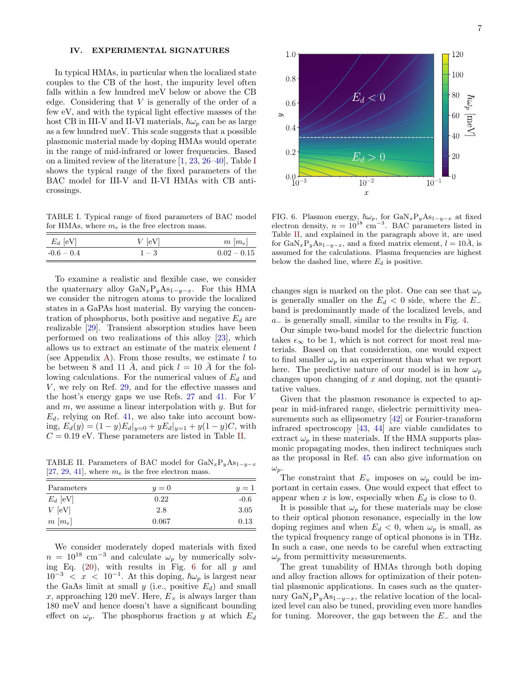# <span id="page-6-0"></span>IV. EXPERIMENTAL SIGNATURES

In typical HMAs, in particular when the localized state couples to the CB of the host, the impurity level often falls within a few hundred meV below or above the CB edge. Considering that  $V$  is generally of the order of a few eV, and with the typical light effective masses of the host CB in III-V and II-VI materials,  $\hbar\omega_p$  can be as large as a few hundred meV. This scale suggests that a possible plasmonic material made by doping HMAs would operate in the range of mid-infrared or lower frequencies. Based on a limited review of the literature [\[1,](#page-8-0) [23,](#page-9-1) [26–](#page-9-4)[40\]](#page-9-5), Table [I](#page-6-1) shows the typical range of the fixed parameters of the BAC model for III-V and II-VI HMAs with CB anticrossings.

<span id="page-6-1"></span>TABLE I. Typical range of fixed parameters of BAC model for HMAs, where  $m_e$  is the free electron mass.

| $E_d$ [eV]   | $V$ [eV] | $m \, [m_e]$  |
|--------------|----------|---------------|
| $-0.6 - 0.4$ | $1 - 3$  | $0.02 - 0.15$ |

To examine a realistic and flexible case, we consider the quaternary alloy  $\text{GaN}_x\text{P}_y\text{As}_{1-y-x}$ . For this HMA we consider the nitrogen atoms to provide the localized states in a GaPAs host material. By varying the concentration of phosphorus, both positive and negative  $E_d$  are realizable [\[29\]](#page-9-6). Transient absorption studies have been performed on two realizations of this alloy [\[23\]](#page-9-1), which allows us to extract an estimate of the matrix element  $l$ (see Appendix [A\)](#page-7-0). From those results, we estimate  $l$  to be between 8 and 11  $\AA$ , and pick  $l = 10 \AA$  for the following calculations. For the numerical values of  $E_d$  and  $V$ , we rely on Ref. [29,](#page-9-6) and for the effective masses and the host's energy gaps we use Refs. [27](#page-9-7) and [41.](#page-9-8) For V and  $m$ , we assume a linear interpolation with  $y$ . But for  $E_d$ , relying on Ref. [41,](#page-9-8) we also take into account bowing,  $E_d(y) = (1 - y)E_d|_{y=0} + yE_d|_{y=1} + y(1 - y)C$ , with  $C = 0.19$  eV. These parameters are listed in Table [II.](#page-6-2)

<span id="page-6-2"></span>TABLE II. Parameters of BAC model for  $\text{GaN}_x\text{P}_y\text{As}_{1-y-x}$ [\[27,](#page-9-7) [29,](#page-9-6) [41\]](#page-9-8), where  $m_e$  is the free electron mass.

| Parameters             | $y=0$ | $y=1$  |
|------------------------|-------|--------|
| $E_d$ [eV]             | 0.22  | $-0.6$ |
| $V$ [eV]               | 2.8   | 3.05   |
| $m \left[ m_e \right]$ | 0.067 | 0.13   |

We consider moderately doped materials with fixed  $n = 10^{18}$  cm<sup>-3</sup> and calculate  $\omega_p$  by numerically solving Eq.  $(20)$ , with results in Fig. [6](#page-6-3) for all y and  $10^{-3}$  < x < 10<sup>-1</sup>. At this doping,  $\hbar\omega_p$  is largest near the GaAs limit at small  $y$  (i.e., positive  $E_d$ ) and small x, approaching 120 meV. Here,  $E_{\times}$  is always larger than 180 meV and hence doesn't have a significant bounding effect on  $\omega_p$ . The phosphorus fraction y at which  $E_d$ 



<span id="page-6-3"></span>FIG. 6. Plasmon energy,  $\hbar\omega_p$ , for  $\text{GaN}_x\text{P}_y\text{As}_{1-y-x}$  at fixed electron density,  $n = 10^{18}$  cm<sup>-3</sup>. BAC parameters listed in Table [II,](#page-6-2) and explained in the paragraph above it, are used for  $\text{GaN}_x\text{P}_y\text{As}_{1-y-x}$ , and a fixed matrix element,  $l = 10\text{\AA}$ , is assumed for the calculations. Plasma frequencies are highest below the dashed line, where  $E_d$  is positive.

changes sign is marked on the plot. One can see that  $\omega_p$ is generally smaller on the  $E_d < 0$  side, where the  $E_-\$ band is predominantly made of the localized levels, and  $a_$  is generally small, similar to the results in Fig. [4.](#page-5-0)

Our simple two-band model for the dielectric function takes  $\epsilon_{\infty}$  to be 1, which is not correct for most real materials. Based on that consideration, one would expect to find smaller  $\omega_p$  in an experiment than what we report here. The predictive nature of our model is in how  $\omega_p$ changes upon changing of  $x$  and doping, not the quantitative values.

Given that the plasmon resonance is expected to appear in mid-infrared range, dielectric permittivity mea-surements such as ellipsometry [\[42\]](#page-9-9) or Fourier-transform infrared spectroscopy [\[43,](#page-9-10) [44\]](#page-9-11) are viable candidates to extract  $\omega_p$  in these materials. If the HMA supports plasmonic propagating modes, then indirect techniques such as the proposal in Ref. [45](#page-9-12) can also give information on  $\omega_p$ .

The constraint that  $E_{\times}$  imposes on  $\omega_p$  could be important in certain cases. One would expect that effect to appear when x is low, especially when  $E_d$  is close to 0.

It is possible that  $\omega_p$  for these materials may be close to their optical phonon resonance, especially in the low doping regimes and when  $E_d < 0$ , when  $\omega_p$  is small, as the typical frequency range of optical phonons is in THz. In such a case, one needs to be careful when extracting  $\omega_p$  from permittivity measurements.

The great tunability of HMAs through both doping and alloy fraction allows for optimization of their potential plasmonic applications. In cases such as the quaternary  $\text{GaN}_x\text{P}_y\text{As}_{1-y-x}$ , the relative location of the localized level can also be tuned, providing even more handles for tuning. Moreover, the gap between the  $E_-\,$  and the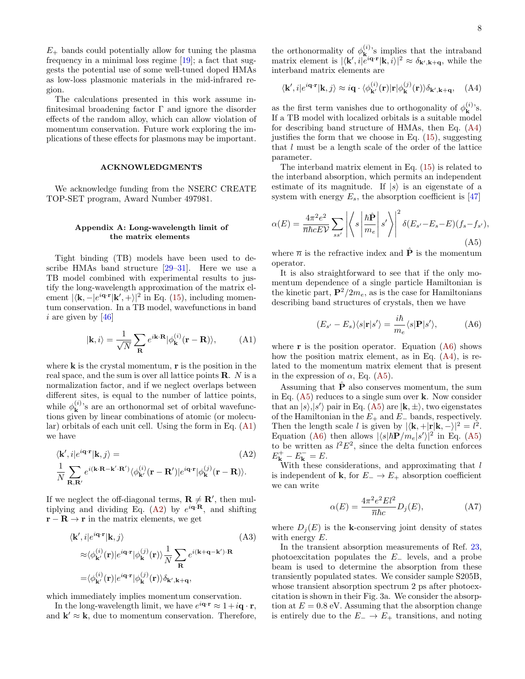$E_{+}$  bands could potentially allow for tuning the plasma frequency in a minimal loss regime [\[19\]](#page-8-13); a fact that suggests the potential use of some well-tuned doped HMAs as low-loss plasmonic materials in the mid-infrared region.

The calculations presented in this work assume infinitesimal broadening factor  $\Gamma$  and ignore the disorder effects of the random alloy, which can allow violation of momentum conservation. Future work exploring the implications of these effects for plasmons may be important.

#### ACKNOWLEDGMENTS

We acknowledge funding from the NSERC CREATE TOP-SET program, Award Number 497981.

#### <span id="page-7-0"></span>Appendix A: Long-wavelength limit of the matrix elements

Tight binding (TB) models have been used to describe HMAs band structure [\[29–](#page-9-6)[31\]](#page-9-13). Here we use a TB model combined with experimental results to justify the long-wavelength approximation of the matrix element  $|\langle \mathbf{k}, -|e^{i\mathbf{q} \cdot \mathbf{r}} | \mathbf{k}', + \rangle|^2$  in Eq. [\(15\)](#page-3-5), including momentum conservation. In a TB model, wavefunctions in band i are given by  $[46]$ 

<span id="page-7-1"></span>
$$
|\mathbf{k}, i\rangle = \frac{1}{\sqrt{N}} \sum_{\mathbf{R}} e^{i\mathbf{k} \cdot \mathbf{R}} |\phi_{\mathbf{k}}^{(i)}(\mathbf{r} - \mathbf{R})\rangle, \quad (A1)
$$

where  $k$  is the crystal momentum,  $r$  is the position in the real space, and the sum is over all lattice points  $\mathbf{R}$ . N is a normalization factor, and if we neglect overlaps between different sites, is equal to the number of lattice points, while  $\phi_{\mathbf{k}}^{(i)}$  $\mathbf{k}^{(i)}$ 's are an orthonormal set of orbital wavefunctions given by linear combinations of atomic (or molecular) orbitals of each unit cell. Using the form in Eq. [\(A1\)](#page-7-1) we have

$$
\langle \mathbf{k}', i | e^{i\mathbf{q} \cdot \mathbf{r}} | \mathbf{k}, j \rangle =
$$
\n
$$
\frac{1}{N} \sum_{\mathbf{R}, \mathbf{R}'} e^{i(\mathbf{k} \cdot \mathbf{R} - \mathbf{k}' \cdot \mathbf{R}')} \langle \phi_{\mathbf{k}'}^{(i)}(\mathbf{r} - \mathbf{R}') | e^{i\mathbf{q} \cdot \mathbf{r}} | \phi_{\mathbf{k}}^{(j)}(\mathbf{r} - \mathbf{R}) \rangle.
$$
\n(A2)

If we neglect the off-diagonal terms,  $\mathbf{R} \neq \mathbf{R}'$ , then mul-tiplying and dividing Eq. [\(A2\)](#page-7-2) by  $e^{i\mathbf{q}\cdot\mathbf{R}}$ , and shifting  $\mathbf{r} - \mathbf{R} \to \mathbf{r}$  in the matrix elements, we get

$$
\langle \mathbf{k}', i | e^{i\mathbf{q} \cdot \mathbf{r}} | \mathbf{k}, j \rangle
$$
\n
$$
\approx \langle \phi_{\mathbf{k}'}^{(i)}(\mathbf{r}) | e^{i\mathbf{q} \cdot \mathbf{r}} | \phi_{\mathbf{k}}^{(j)}(\mathbf{r}) \rangle \frac{1}{N} \sum_{\mathbf{R}} e^{i(\mathbf{k} + \mathbf{q} - \mathbf{k}') \cdot \mathbf{R}}
$$
\n
$$
= \langle \phi_{\mathbf{k}'}^{(i)}(\mathbf{r}) | e^{i\mathbf{q} \cdot \mathbf{r}} | \phi_{\mathbf{k}}^{(j)}(\mathbf{r}) \rangle \delta_{\mathbf{k}', \mathbf{k} + \mathbf{q}},
$$
\n(A3)

which immediately implies momentum conservation.

In the long-wavelength limit, we have  $e^{i\mathbf{q}\cdot\mathbf{r}} \approx 1 + i\mathbf{q}\cdot\mathbf{r}$ , and  $\mathbf{k}' \approx \mathbf{k}$ , due to momentum conservation. Therefore,

the orthonormality of  $\phi_{\mathbf{k}}^{(i)}$  $\mathbf{k}^{(i)}$ 's implies that the intraband matrix element is  $|\langle \mathbf{k}', i | \hat{e}^{i\mathbf{q}\cdot\mathbf{r}} | \mathbf{k}, i \rangle|^2 \approx \delta_{\mathbf{k}',\mathbf{k}+\mathbf{q}}$ , while the interband matrix elements are

<span id="page-7-3"></span>
$$
\langle \mathbf{k}', i|e^{i\mathbf{q}\cdot\mathbf{r}}|\mathbf{k}, j\rangle \approx i\mathbf{q} \cdot \langle \phi_{\mathbf{k}'}^{(i)}(\mathbf{r})|\mathbf{r}| \phi_{\mathbf{k}}^{(j)}(\mathbf{r})\rangle \delta_{\mathbf{k}',\mathbf{k}+\mathbf{q}}, \quad \text{(A4)}
$$

as the first term vanishes due to orthogonality of  $\phi_{\mathbf{k}}^{(i)}$  $\mathbf{k}^{(i)}$ 's. If a TB model with localized orbitals is a suitable model for describing band structure of HMAs, then Eq. [\(A4\)](#page-7-3) justifies the form that we choose in Eq. [\(15\)](#page-3-5), suggesting that l must be a length scale of the order of the lattice parameter.

The interband matrix element in Eq. [\(15\)](#page-3-5) is related to the interband absorption, which permits an independent estimate of its magnitude. If  $|s\rangle$  is an eigenstate of a system with energy  $E_s$ , the absorption coefficient is [\[47\]](#page-9-15)

<span id="page-7-5"></span>
$$
\alpha(E) = \frac{4\pi^2 e^2}{\overline{n}hcEV} \sum_{ss'} \left| \left\langle s \left| \frac{\hbar \hat{\mathbf{P}}}{m_e} \right| s' \right\rangle \right|^2 \delta(E_{s'} - E_s - E)(f_s - f_{s'}),
$$
\n(A5)

where  $\bar{n}$  is the refractive index and  $\hat{P}$  is the momentum operator.

It is also straightforward to see that if the only momentum dependence of a single particle Hamiltonian is the kinetic part,  $\mathbf{P}^2/2m_e$ , as is the case for Hamiltonians describing band structures of crystals, then we have

<span id="page-7-4"></span>
$$
(E_{s'} - E_s) \langle s | \mathbf{r} | s' \rangle = \frac{i\hbar}{m_e} \langle s | \mathbf{P} | s' \rangle, \tag{A6}
$$

where  $\bf{r}$  is the position operator. Equation [\(A6\)](#page-7-4) shows how the position matrix element, as in Eq. [\(A4\)](#page-7-3), is related to the momentum matrix element that is present in the expression of  $\alpha$ , Eq. [\(A5\)](#page-7-5).

Assuming that  $\hat{\mathbf{P}}$  also conserves momentum, the sum in Eq. [\(A5\)](#page-7-5) reduces to a single sum over k. Now consider that an  $|s\rangle, |s'\rangle$  pair in Eq. [\(A5\)](#page-7-5) are  $|\mathbf{k}, \pm\rangle$ , two eigenstates of the Hamiltonian in the  $E_+$  and  $E_-$  bands, respectively. Then the length scale l is given by  $|\langle \mathbf{k}, +|\mathbf{r}|\mathbf{k}, -\rangle|^2 = l^2$ . Equation [\(A6\)](#page-7-4) then allows  $|\langle s|\hbar \mathbf{P}/m_e|s'\rangle|^2$  in Eq. [\(A5\)](#page-7-5) to be written as  $l^2E^2$ , since the delta function enforces  $E_{\mathbf{k}}^{+}-E_{\mathbf{k}}^{-}=E.$ 

<span id="page-7-2"></span>With these considerations, and approximating that  $l$ is independent of **k**, for  $E_$  →  $E_+$  absorption coefficient we can write

<span id="page-7-6"></span>
$$
\alpha(E) = \frac{4\pi^2 e^2 E l^2}{\overline{n} \hbar c} D_j(E), \tag{A7}
$$

where  $D_j(E)$  is the k-conserving joint density of states with energy  $E$ .

In the transient absorption measurements of Ref. [23,](#page-9-1) photoexcitation populates the E<sup>−</sup> levels, and a probe beam is used to determine the absorption from these transiently populated states. We consider sample S205B, whose transient absorption spectrum 2 ps after photoexcitation is shown in their Fig. 3a. We consider the absorption at  $E = 0.8$  eV. Assuming that the absorption change is entirely due to the  $E_$  →  $E_+$  transitions, and noting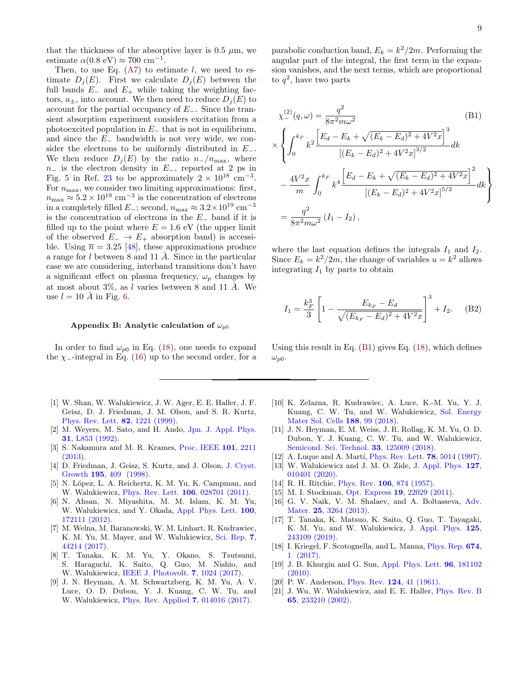that the thickness of the absorptive layer is 0.5  $\mu$ m, we estimate  $\alpha(0.8 \text{ eV}) \approx 700 \text{ cm}^{-1}$ .

Then, to use Eq.  $(A7)$  to estimate l, we need to estimate  $D_i(E)$ . First we calculate  $D_i(E)$  between the full bands  $E_-\$  and  $E_+$  while taking the weighting factors,  $a_{\pm}$ , into account. We then need to reduce  $D_i(E)$  to account for the partial occupancy of  $E_$ . Since the transient absorption experiment considers excitation from a photoexcited population in  $E_$  that is not in equilibrium, and since the E<sup>−</sup> bandwidth is not very wide, we consider the electrons to be uniformly distributed in  $E_-.$ We then reduce  $D_i(E)$  by the ratio  $n_-/n_{\text{max}}$ , where  $n_$  is the electron density in  $E_$ , reported at 2 ps in Fig. 5 in Ref. [23](#page-9-1) to be approximately  $2 \times 10^{18}$  cm<sup>-3</sup>. For  $n_{\text{max}}$ , we consider two limiting approximations: first,  $n_{\text{max}} \approx 5.2 \times 10^{19} \text{ cm}^{-3}$  is the concentration of electrons in a completely filled  $E_{-}$ ; second,  $n_{\text{max}} \approx 3.2 \times 10^{19} \text{ cm}^{-3}$ is the concentration of electrons in the E<sup>−</sup> band if it is filled up to the point where  $E = 1.6$  eV (the upper limit of the observed  $E_-\to E_+$  absorption band) is accessible. Using  $\bar{n} = 3.25$  [\[48\]](#page-9-16), these approximations produce a range for  $l$  between 8 and 11  $\AA$ . Since in the particular case we are considering, interband transitions don't have a significant effect on plasma frequency,  $\omega_p$  changes by at most about  $3\%$ , as l varies between 8 and 11 Å. We use  $l = 10$  Å in Fig. [6.](#page-6-3)

#### <span id="page-8-16"></span>Appendix B: Analytic calculation of  $\omega_{p0}$

In order to find  $\omega_{p0}$  in Eq. [\(18\)](#page-4-4), one needs to expand the  $\chi$ -integral in Eq. [\(16\)](#page-4-1) up to the second order, for a

- <span id="page-8-0"></span>[1] W. Shan, W. Walukiewicz, J. W. Ager, E. E. Haller, J. F. Geisz, D. J. Friedman, J. M. Olson, and S. R. Kurtz, [Phys. Rev. Lett.](https://doi.org/10.1103/PhysRevLett.82.1221) 82, 1221 (1999).
- <span id="page-8-1"></span>[2] M. Weyers, M. Sato, and H. Ando, [Jpn. J. Appl. Phys.](https://doi.org/10.1143/jjap.31.l853) 31[, L853 \(1992\).](https://doi.org/10.1143/jjap.31.l853)
- <span id="page-8-2"></span>[3] S. Nakamura and M. R. Krames, [Proc. IEEE](https://doi.org/10.1109/JPROC.2013.2274929) 101, 2211 [\(2013\).](https://doi.org/10.1109/JPROC.2013.2274929)
- <span id="page-8-3"></span>[4] D. Friedman, J. Geisz, S. Kurtz, and J. Olson, [J. Cryst.](https://doi.org/https://doi.org/10.1016/S0022-0248(98)00561-2) Growth 195[, 409 \(1998\).](https://doi.org/https://doi.org/10.1016/S0022-0248(98)00561-2)
- <span id="page-8-4"></span>[5] N. López, L. A. Reichertz, K. M. Yu, K. Campman, and W. Walukiewicz, [Phys. Rev. Lett.](https://doi.org/10.1103/PhysRevLett.106.028701) 106, 028701 (2011).
- [6] N. Ahsan, N. Miyashita, M. M. Islam, K. M. Yu, W. Walukiewicz, and Y. Okada, [Appl. Phys. Lett.](https://doi.org/10.1063/1.4709405) 100, [172111 \(2012\).](https://doi.org/10.1063/1.4709405)
- [7] M. Welna, M. Baranowski, W. M. Linhart, R. Kudrawiec, K. M. Yu, M. Mayer, and W. Walukiewicz, [Sci. Rep.](https://doi.org/10.1038/srep44214) 7, [44214 \(2017\).](https://doi.org/10.1038/srep44214)
- [8] T. Tanaka, K. M. Yu, Y. Okano, S. Tsutsumi, S. Haraguchi, K. Saito, Q. Guo, M. Nishio, and W. Walukiewicz, [IEEE J. Photovolt.](https://doi.org/10.1109/JPHOTOV.2017.2706419) 7, 1024 (2017).
- [9] J. N. Heyman, A. M. Schwartzberg, K. M. Yu, A. V. Luce, O. D. Dubon, Y. J. Kuang, C. W. Tu, and W. Walukiewicz, [Phys. Rev. Applied](https://doi.org/10.1103/PhysRevApplied.7.014016) 7, 014016 (2017).

parabolic conduction band,  $E_k = k^2/2m$ . Performing the angular part of the integral, the first term in the expansion vanishes, and the next terms, which are proportional to  $q^2$ , have two parts

<span id="page-8-17"></span>
$$
\chi_{-}^{(2)}(q,\omega) = \frac{q^2}{8\pi^2 m\omega^2}
$$
\n(B1)  
\n
$$
\times \left\{ \int_0^{k_F} k^2 \frac{\left[E_d - E_k + \sqrt{(E_k - E_d)^2 + 4V^2x}\right]^3}{\left[(E_k - E_d)^2 + 4V^2x\right]^{3/2}} dk \right\}
$$
\n
$$
- \frac{4V^2x}{m} \int_0^{k_F} k^4 \frac{\left[E_d - E_k + \sqrt{(E_k - E_d)^2 + 4V^2x}\right]^2}{\left[(E_k - E_d)^2 + 4V^2x\right]^{5/2}} dk \right\}
$$
\n
$$
= \frac{q^2}{8\pi^2 m\omega^2} (I_1 - I_2),
$$
\n(B1)

where the last equation defines the integrals  $I_1$  and  $I_2$ . Since  $E_k = k^2/2m$ , the change of variables  $u = k^2$  allows integrating  $I_1$  by parts to obtain

$$
I_1 = \frac{k_F^3}{3} \left[ 1 - \frac{E_{k_F} - E_d}{\sqrt{(E_{k_F} - E_d)^2 + 4V^2 x}} \right]^3 + I_2. \tag{B2}
$$

Using this result in Eq.  $(B1)$  gives Eq.  $(18)$ , which defines  $\omega_{p0}$ .

- [10] K. Zelazna, R. Kudrawiec, A. Luce, K.-M. Yu, Y. J. Kuang, C. W. Tu, and W. Walukiewicz, [Sol. Energy](http://www.sciencedirect.com/science/article/pii/S0927024818304367) [Mater Sol. Cells](http://www.sciencedirect.com/science/article/pii/S0927024818304367) 188, 99 (2018).
- <span id="page-8-5"></span>[11] J. N. Heyman, E. M. Weiss, J. R. Rollag, K. M. Yu, O. D. Dubon, Y. J. Kuang, C. W. Tu, and W. Walukiewicz, [Semicond. Sci. Technol.](https://doi.org/10.1088/1361-6641/aae7c5) 33, 125009 (2018).
- <span id="page-8-6"></span>[12] A. Luque and A. Martí, *[Phys. Rev. Lett.](https://doi.org/10.1103/PhysRevLett.78.5014)* **78**, 5014 (1997).
- <span id="page-8-7"></span>[13] W. Walukiewicz and J. M. O. Zide, [J. Appl. Phys.](https://doi.org/10.1063/1.5142248)  $127$ , [010401 \(2020\).](https://doi.org/10.1063/1.5142248)
- <span id="page-8-8"></span>[14] R. H. Ritchie, Phys. Rev. **106**[, 874 \(1957\).](https://doi.org/10.1103/PhysRev.106.874)
- <span id="page-8-9"></span>[15] M. I. Stockman, Opt. Express 19[, 22029 \(2011\).](https://doi.org/10.1364/OE.19.022029)
- <span id="page-8-10"></span>[16] G. V. Naik, V. M. Shalaev, and A. Boltasseva, [Adv.](https://doi.org/10.1002/adma.201205076) Mater. 25[, 3264 \(2013\).](https://doi.org/10.1002/adma.201205076)
- <span id="page-8-11"></span>[17] T. Tanaka, K. Matsuo, K. Saito, Q. Guo, T. Tayagaki, K. M. Yu, and W. Walukiewicz, [J. Appl. Phys.](https://doi.org/10.1063/1.5092553) 125, [243109 \(2019\).](https://doi.org/10.1063/1.5092553)
- <span id="page-8-12"></span>[18] I. Kriegel, F. Scotognella, and L. Manna, [Phys. Rep.](https://doi.org/https://doi.org/10.1016/j.physrep.2017.01.003) 674, [1 \(2017\).](https://doi.org/https://doi.org/10.1016/j.physrep.2017.01.003)
- <span id="page-8-13"></span>[19] J. B. Khurgin and G. Sun, [Appl. Phys. Lett.](https://doi.org/10.1063/1.3425890) 96, 181102  $(2010)$
- <span id="page-8-14"></span>[20] P. W. Anderson, Phys. Rev. **124**[, 41 \(1961\).](https://doi.org/10.1103/PhysRev.124.41)
- <span id="page-8-15"></span>[21] J. Wu, W. Walukiewicz, and E. E. Haller, [Phys. Rev. B](https://doi.org/10.1103/PhysRevB.65.233210) 65[, 233210 \(2002\).](https://doi.org/10.1103/PhysRevB.65.233210)